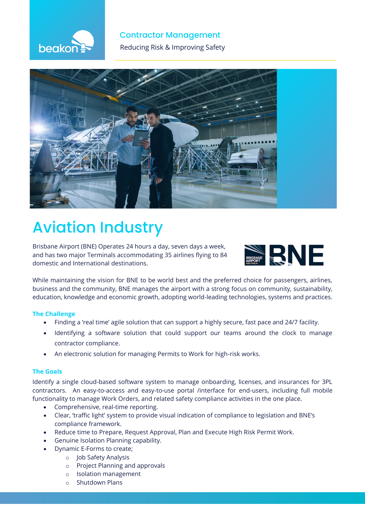

## **Contractor Management**

**The Reducing Risk & Improving Safety** 



# **Aviation Industry**

Brisbane Airport (BNE) Operates 24 hours a day, seven days a week, and has two major Terminals accommodating 35 airlines flying to 84 domestic and International destinations.



While maintaining the vision for BNE to be world best and the preferred choice for passengers, airlines, business and the community, BNE manages the airport with a strong focus on community, sustainability, education, knowledge and economic growth, adopting world-leading technologies, systems and practices.

## **The Challenge**

- Finding a 'real time' agile solution that can support a highly secure, fast pace and 24/7 facility.
- Identifying a software solution that could support our teams around the clock to manage contractor compliance.
- An electronic solution for managing Permits to Work for high-risk works.

## **The Goals**

Identify a single cloud-based software system to manage onboarding, licenses, and insurances for 3PL contractors. An easy-to-access and easy-to-use portal /interface for end-users, including full mobile functionality to manage Work Orders, and related safety compliance activities in the one place.

- Comprehensive, real-time reporting.
- Clear, 'traffic light' system to provide visual indication of compliance to legislation and BNE's compliance framework.
- Reduce time to Prepare, Request Approval, Plan and Execute High Risk Permit Work.
- Genuine Isolation Planning capability.
- Dynamic E-Forms to create;
	- o Job Safety Analysis
	- o Project Planning and approvals
	- o Isolation management
	- o Shutdown Plans